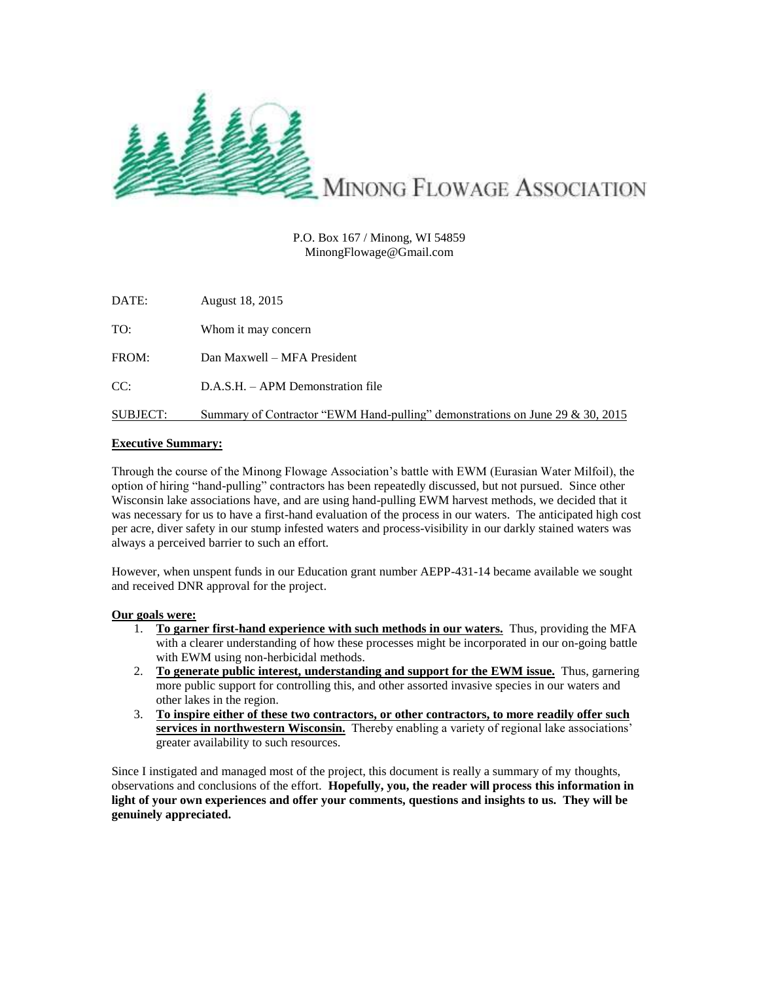

## P.O. Box 167 / Minong, WI 54859 MinongFlowage@Gmail.com

| DATE:    | August 18, 2015                                                               |
|----------|-------------------------------------------------------------------------------|
| TO:      | Whom it may concern                                                           |
| FROM:    | Dan Maxwell – MFA President                                                   |
| CC:      | D.A.S.H. – APM Demonstration file                                             |
| SUBJECT: | Summary of Contractor "EWM Hand-pulling" demonstrations on June 29 & 30, 2015 |

# **Executive Summary:**

Through the course of the Minong Flowage Association's battle with EWM (Eurasian Water Milfoil), the option of hiring "hand-pulling" contractors has been repeatedly discussed, but not pursued. Since other Wisconsin lake associations have, and are using hand-pulling EWM harvest methods, we decided that it was necessary for us to have a first-hand evaluation of the process in our waters. The anticipated high cost per acre, diver safety in our stump infested waters and process-visibility in our darkly stained waters was always a perceived barrier to such an effort.

However, when unspent funds in our Education grant number AEPP-431-14 became available we sought and received DNR approval for the project.

## **Our goals were:**

- 1. **To garner first-hand experience with such methods in our waters.** Thus, providing the MFA with a clearer understanding of how these processes might be incorporated in our on-going battle with EWM using non-herbicidal methods.
- 2. **To generate public interest, understanding and support for the EWM issue.** Thus, garnering more public support for controlling this, and other assorted invasive species in our waters and other lakes in the region.
- 3. **To inspire either of these two contractors, or other contractors, to more readily offer such services in northwestern Wisconsin.** Thereby enabling a variety of regional lake associations' greater availability to such resources.

Since I instigated and managed most of the project, this document is really a summary of my thoughts, observations and conclusions of the effort. **Hopefully, you, the reader will process this information in light of your own experiences and offer your comments, questions and insights to us. They will be genuinely appreciated.**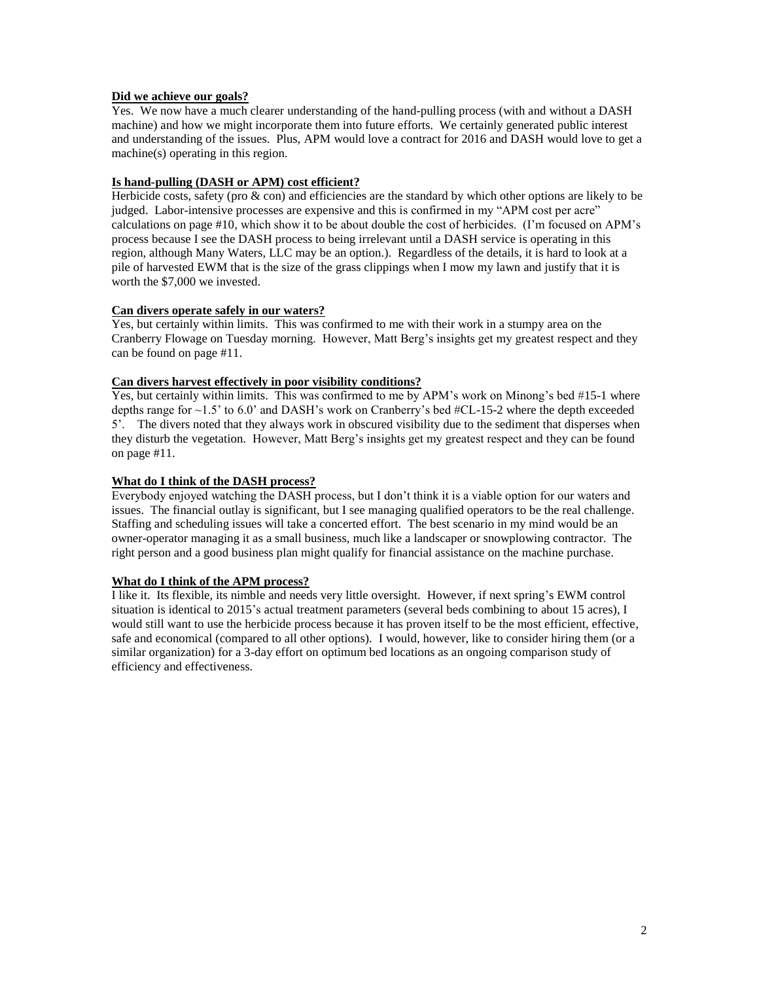## **Did we achieve our goals?**

Yes. We now have a much clearer understanding of the hand-pulling process (with and without a DASH machine) and how we might incorporate them into future efforts. We certainly generated public interest and understanding of the issues. Plus, APM would love a contract for 2016 and DASH would love to get a machine(s) operating in this region.

## **Is hand-pulling (DASH or APM) cost efficient?**

Herbicide costs, safety (pro & con) and efficiencies are the standard by which other options are likely to be judged. Labor-intensive processes are expensive and this is confirmed in my "APM cost per acre" calculations on page #10, which show it to be about double the cost of herbicides. (I'm focused on APM's process because I see the DASH process to being irrelevant until a DASH service is operating in this region, although Many Waters, LLC may be an option.). Regardless of the details, it is hard to look at a pile of harvested EWM that is the size of the grass clippings when I mow my lawn and justify that it is worth the \$7,000 we invested.

## **Can divers operate safely in our waters?**

Yes, but certainly within limits. This was confirmed to me with their work in a stumpy area on the Cranberry Flowage on Tuesday morning. However, Matt Berg's insights get my greatest respect and they can be found on page #11.

## **Can divers harvest effectively in poor visibility conditions?**

Yes, but certainly within limits. This was confirmed to me by APM's work on Minong's bed #15-1 where depths range for  $\sim$  1.5' to 6.0' and DASH's work on Cranberry's bed #CL-15-2 where the depth exceeded 5'. The divers noted that they always work in obscured visibility due to the sediment that disperses when they disturb the vegetation. However, Matt Berg's insights get my greatest respect and they can be found on page #11.

## **What do I think of the DASH process?**

Everybody enjoyed watching the DASH process, but I don't think it is a viable option for our waters and issues. The financial outlay is significant, but I see managing qualified operators to be the real challenge. Staffing and scheduling issues will take a concerted effort. The best scenario in my mind would be an owner-operator managing it as a small business, much like a landscaper or snowplowing contractor. The right person and a good business plan might qualify for financial assistance on the machine purchase.

#### **What do I think of the APM process?**

I like it. Its flexible, its nimble and needs very little oversight. However, if next spring's EWM control situation is identical to 2015's actual treatment parameters (several beds combining to about 15 acres), I would still want to use the herbicide process because it has proven itself to be the most efficient, effective, safe and economical (compared to all other options). I would, however, like to consider hiring them (or a similar organization) for a 3-day effort on optimum bed locations as an ongoing comparison study of efficiency and effectiveness.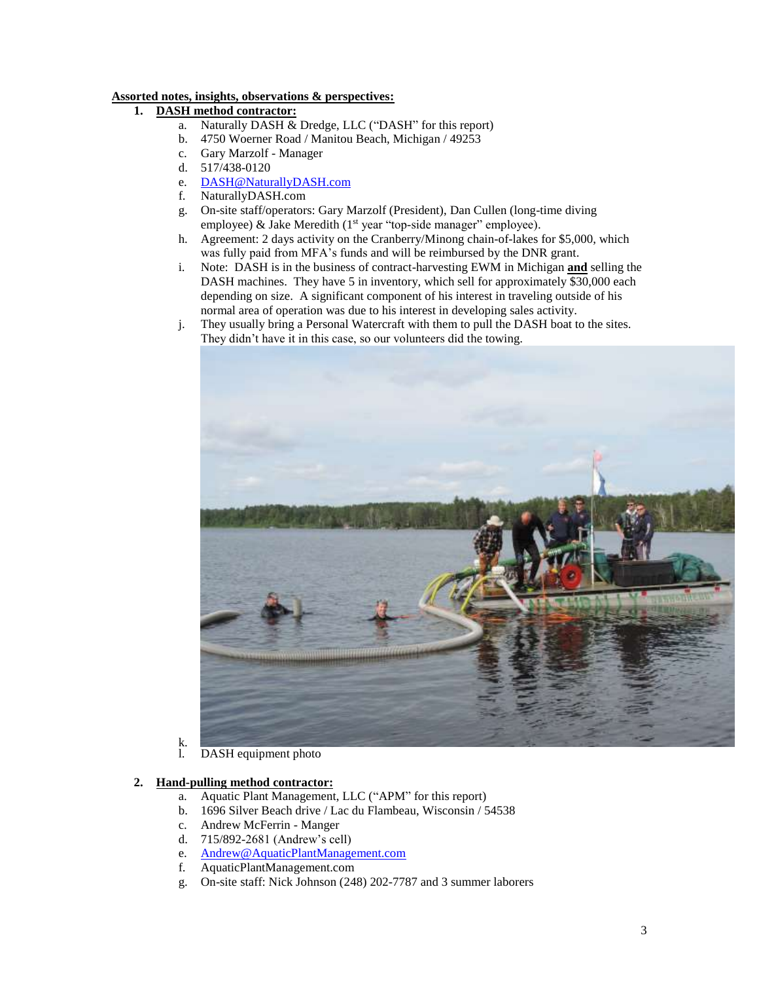# **Assorted notes, insights, observations & perspectives:**

# **1. DASH method contractor:**

- a. Naturally DASH & Dredge, LLC ("DASH" for this report)
- b. 4750 Woerner Road / Manitou Beach, Michigan / 49253
- c. Gary Marzolf Manager
- d. 517/438-0120
- e. [DASH@NaturallyDASH.com](mailto:DASH@NaturallyDASH.com)
- f. NaturallyDASH.com
- g. On-site staff/operators: Gary Marzolf (President), Dan Cullen (long-time diving employee) & Jake Meredith (1<sup>st</sup> year "top-side manager" employee).
- h. Agreement: 2 days activity on the Cranberry/Minong chain-of-lakes for \$5,000, which was fully paid from MFA's funds and will be reimbursed by the DNR grant.
- i. Note: DASH is in the business of contract-harvesting EWM in Michigan **and** selling the DASH machines. They have 5 in inventory, which sell for approximately \$30,000 each depending on size. A significant component of his interest in traveling outside of his normal area of operation was due to his interest in developing sales activity.
- j. They usually bring a Personal Watercraft with them to pull the DASH boat to the sites. They didn't have it in this case, so our volunteers did the towing.



 $\mathop{\mathrm{K}}_1$ DASH equipment photo

## **2. Hand-pulling method contractor:**

- a. Aquatic Plant Management, LLC ("APM" for this report)
- b. 1696 Silver Beach drive / Lac du Flambeau, Wisconsin / 54538
- c. Andrew McFerrin Manger
- d. 715/892-2681 (Andrew's cell)
- e. [Andrew@AquaticPlantManagement.com](mailto:Andrew@AquaticPlantManagement.com)
- f. AquaticPlantManagement.com
- g. On-site staff: Nick Johnson (248) 202-7787 and 3 summer laborers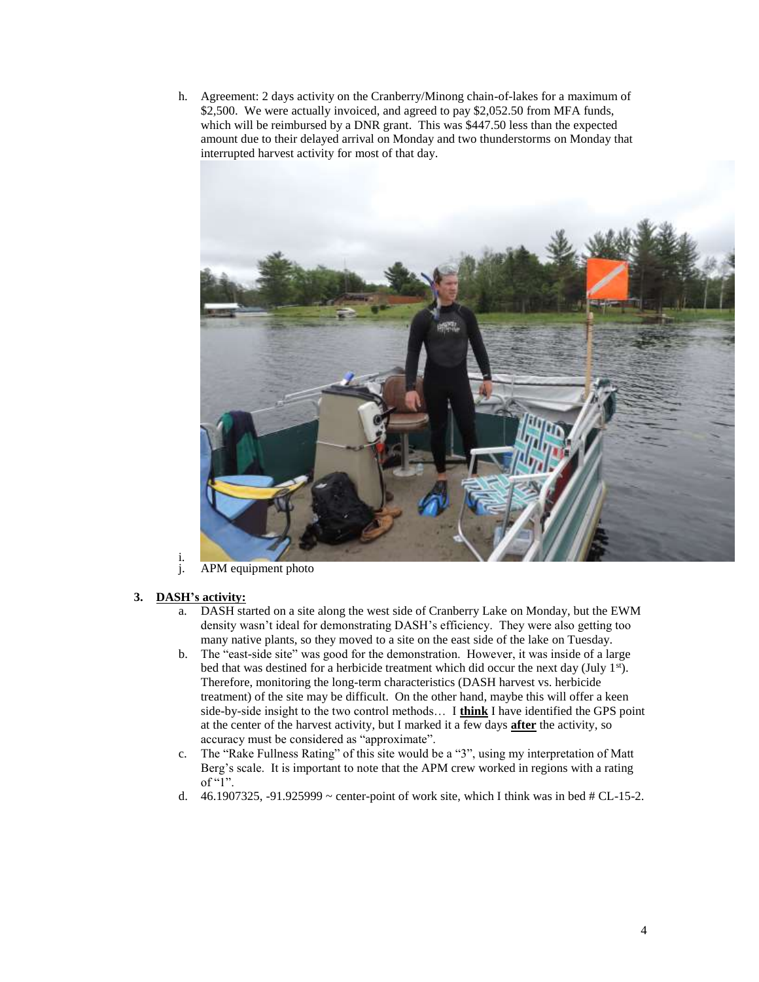h. Agreement: 2 days activity on the Cranberry/Minong chain-of-lakes for a maximum of \$2,500. We were actually invoiced, and agreed to pay \$2,052.50 from MFA funds, which will be reimbursed by a DNR grant. This was \$447.50 less than the expected amount due to their delayed arrival on Monday and two thunderstorms on Monday that interrupted harvest activity for most of that day.



i.<br>j. APM equipment photo

## **3. DASH's activity:**

- a. DASH started on a site along the west side of Cranberry Lake on Monday, but the EWM density wasn't ideal for demonstrating DASH's efficiency. They were also getting too many native plants, so they moved to a site on the east side of the lake on Tuesday.
- b. The "east-side site" was good for the demonstration. However, it was inside of a large bed that was destined for a herbicide treatment which did occur the next day (July 1<sup>st</sup>). Therefore, monitoring the long-term characteristics (DASH harvest vs. herbicide treatment) of the site may be difficult. On the other hand, maybe this will offer a keen side-by-side insight to the two control methods… I **think** I have identified the GPS point at the center of the harvest activity, but I marked it a few days **after** the activity, so accuracy must be considered as "approximate".
- c. The "Rake Fullness Rating" of this site would be a "3", using my interpretation of Matt Berg's scale. It is important to note that the APM crew worked in regions with a rating of " $1$ ".
- d. 46.1907325, -91.925999  $\sim$  center-point of work site, which I think was in bed # CL-15-2.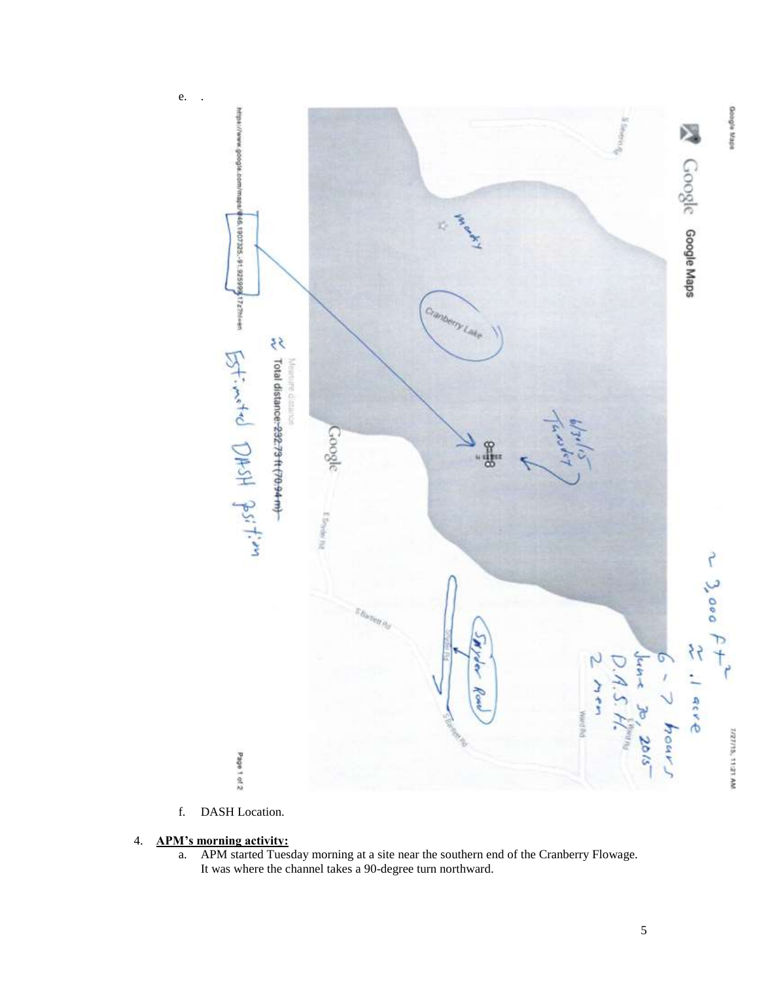

f. DASH Location.

# 4. **APM's morning activity:**

a. APM started Tuesday morning at a site near the southern end of the Cranberry Flowage. It was where the channel takes a 90-degree turn northward.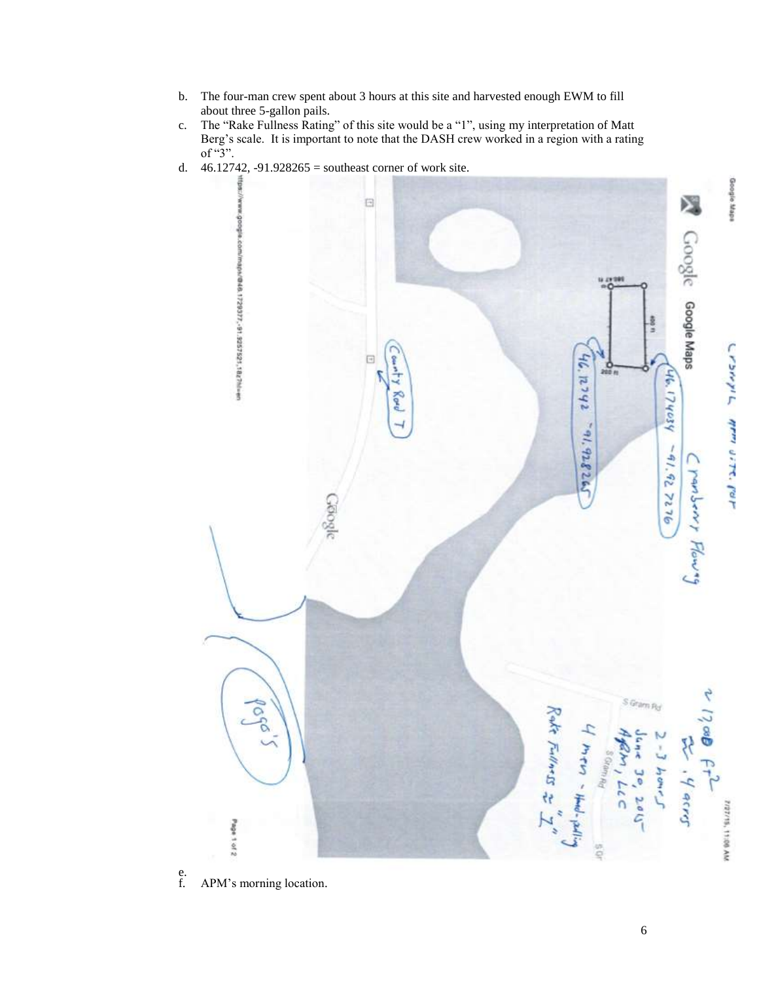- b. The four-man crew spent about 3 hours at this site and harvested enough EWM to fill about three 5-gallon pails.
- c. The "Rake Fullness Rating" of this site would be a "1", using my interpretation of Matt Berg's scale. It is important to note that the DASH crew worked in a region with a rating of "3".
- d. 46.12742, -91.928265 = southeast corner of work site.

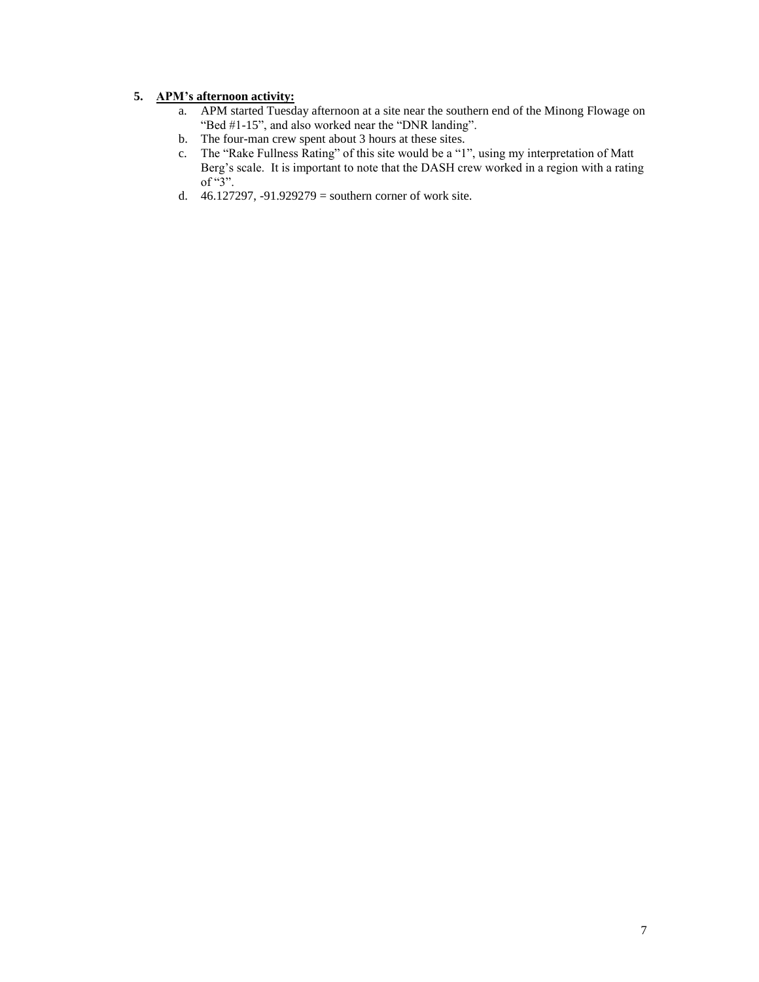# **5. APM's afternoon activity:**

- a. APM started Tuesday afternoon at a site near the southern end of the Minong Flowage on "Bed #1-15", and also worked near the "DNR landing".
- b. The four-man crew spent about 3 hours at these sites.
- c. The "Rake Fullness Rating" of this site would be a "1", using my interpretation of Matt Berg's scale. It is important to note that the DASH crew worked in a region with a rating of "3".
- d. 46.127297, -91.929279 = southern corner of work site.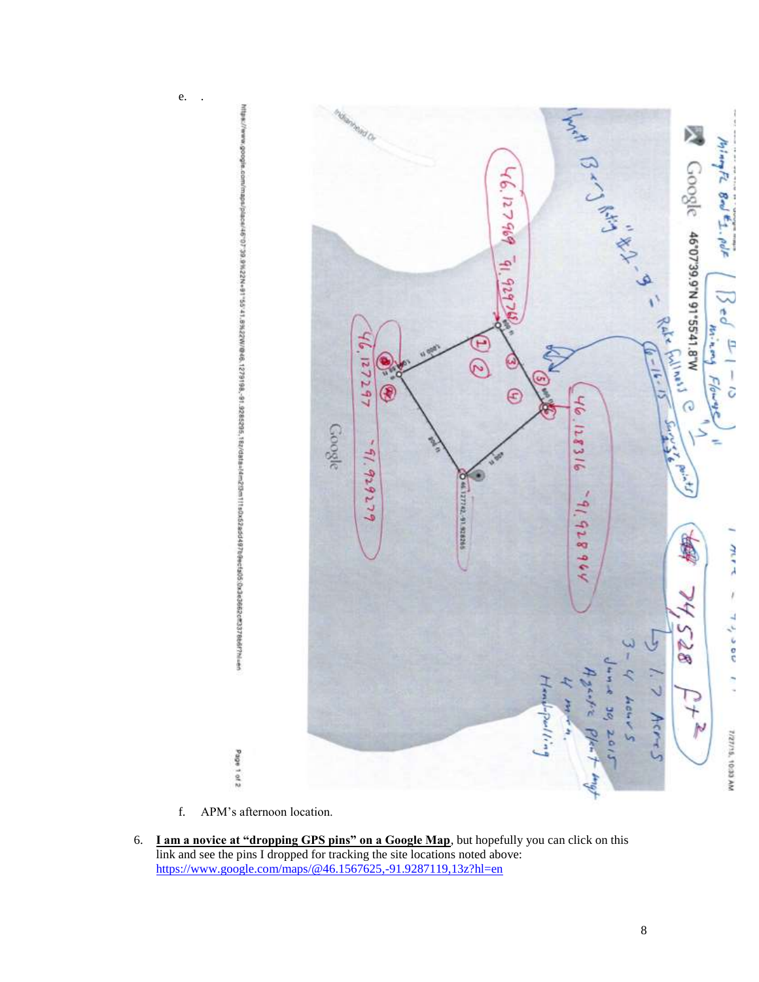

f. APM's afternoon location.

Page 1 of 2

e. .

6. **I am a novice at "dropping GPS pins" on a Google Map**, but hopefully you can click on this link and see the pins I dropped for tracking the site locations noted above: <https://www.google.com/maps/@46.1567625,-91.9287119,13z?hl=en>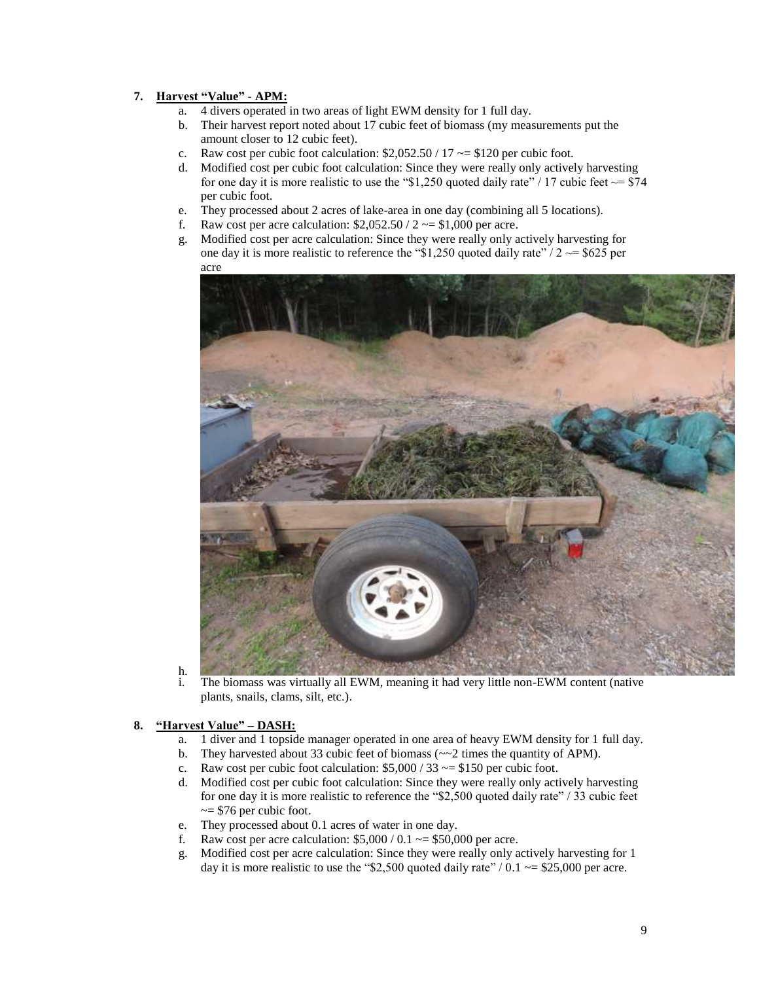# **7. Harvest "Value" - APM:**

- a. 4 divers operated in two areas of light EWM density for 1 full day.
- b. Their harvest report noted about 17 cubic feet of biomass (my measurements put the amount closer to 12 cubic feet).
- c. Raw cost per cubic foot calculation:  $$2,052.50 / 17 \sim $120$  per cubic foot.
- d. Modified cost per cubic foot calculation: Since they were really only actively harvesting for one day it is more realistic to use the "\$1,250 quoted daily rate" / 17 cubic feet  $\sim$ = \$74 per cubic foot.
- e. They processed about 2 acres of lake-area in one day (combining all 5 locations).
- f. Raw cost per acre calculation:  $$2,052.50 / 2 \sim $1,000$  per acre.
- g. Modified cost per acre calculation: Since they were really only actively harvesting for one day it is more realistic to reference the "\$1,250 quoted daily rate"  $/2 \approx 10^{-10}$  per acre



 $\frac{h}{i}$ . The biomass was virtually all EWM, meaning it had very little non-EWM content (native plants, snails, clams, silt, etc.).

## **8. "Harvest Value" – DASH:**

- a. 1 diver and 1 topside manager operated in one area of heavy EWM density for 1 full day.
- b. They harvested about 33 cubic feet of biomass ( $\sim$ 2 times the quantity of APM).
- c. Raw cost per cubic foot calculation:  $$5,000 / 33 \sim $150$  per cubic foot.
- d. Modified cost per cubic foot calculation: Since they were really only actively harvesting for one day it is more realistic to reference the "\$2,500 quoted daily rate" / 33 cubic feet  $\approx$  \$76 per cubic foot.
- e. They processed about 0.1 acres of water in one day.
- f. Raw cost per acre calculation:  $$5,000 / 0.1 \sim $50,000$  per acre.
- g. Modified cost per acre calculation: Since they were really only actively harvesting for 1 day it is more realistic to use the "\$2,500 quoted daily rate" /  $0.1 \sim 1000$  per acre.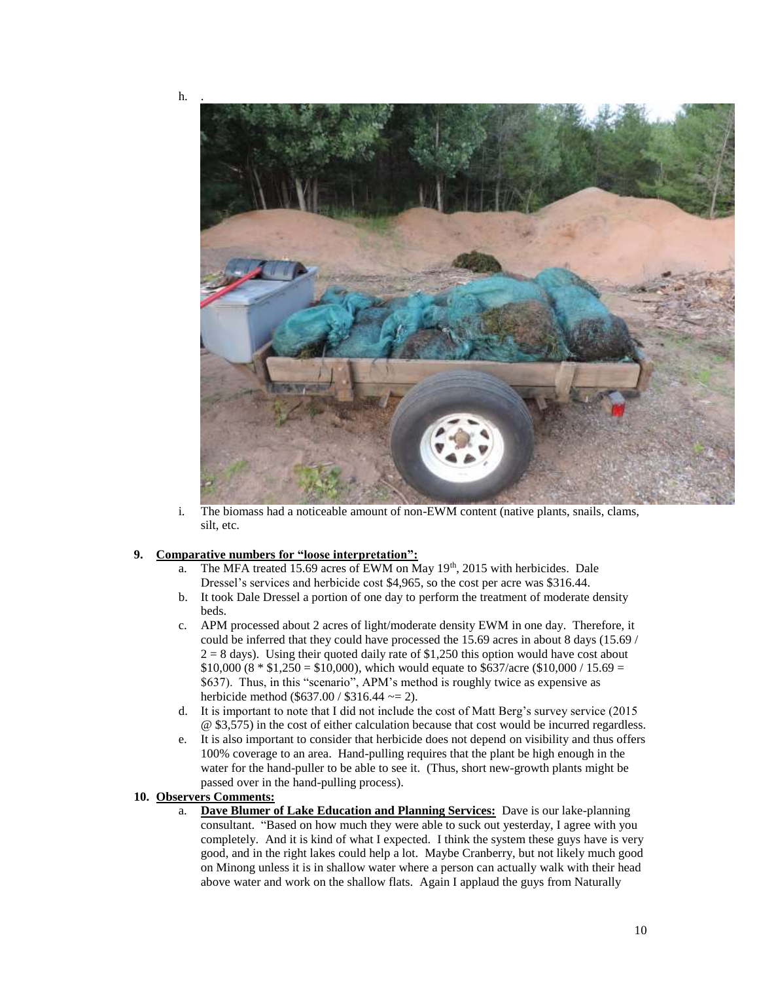

i. The biomass had a noticeable amount of non-EWM content (native plants, snails, clams, silt, etc.

#### **9. Comparative numbers for "loose interpretation":**

- a. The MFA treated 15.69 acres of EWM on May  $19<sup>th</sup>$ , 2015 with herbicides. Dale Dressel's services and herbicide cost \$4,965, so the cost per acre was \$316.44.
- b. It took Dale Dressel a portion of one day to perform the treatment of moderate density beds.
- c. APM processed about 2 acres of light/moderate density EWM in one day. Therefore, it could be inferred that they could have processed the 15.69 acres in about 8 days (15.69 /  $2 = 8$  days). Using their quoted daily rate of \$1,250 this option would have cost about  $$10,000 (8 * $1,250 = $10,000)$ , which would equate to \$637/acre (\$10,000 / 15.69 = \$637). Thus, in this "scenario", APM's method is roughly twice as expensive as herbicide method (\$637.00 / \$316.44  $\sim$  = 2).
- d. It is important to note that I did not include the cost of Matt Berg's survey service (2015 @ \$3,575) in the cost of either calculation because that cost would be incurred regardless.
- e. It is also important to consider that herbicide does not depend on visibility and thus offers 100% coverage to an area. Hand-pulling requires that the plant be high enough in the water for the hand-puller to be able to see it. (Thus, short new-growth plants might be passed over in the hand-pulling process).

# **10. Observers Comments:**

a. **Dave Blumer of Lake Education and Planning Services:** Dave is our lake-planning consultant. "Based on how much they were able to suck out yesterday, I agree with you completely. And it is kind of what I expected. I think the system these guys have is very good, and in the right lakes could help a lot. Maybe Cranberry, but not likely much good on Minong unless it is in shallow water where a person can actually walk with their head above water and work on the shallow flats. Again I applaud the guys from Naturally

 $h.$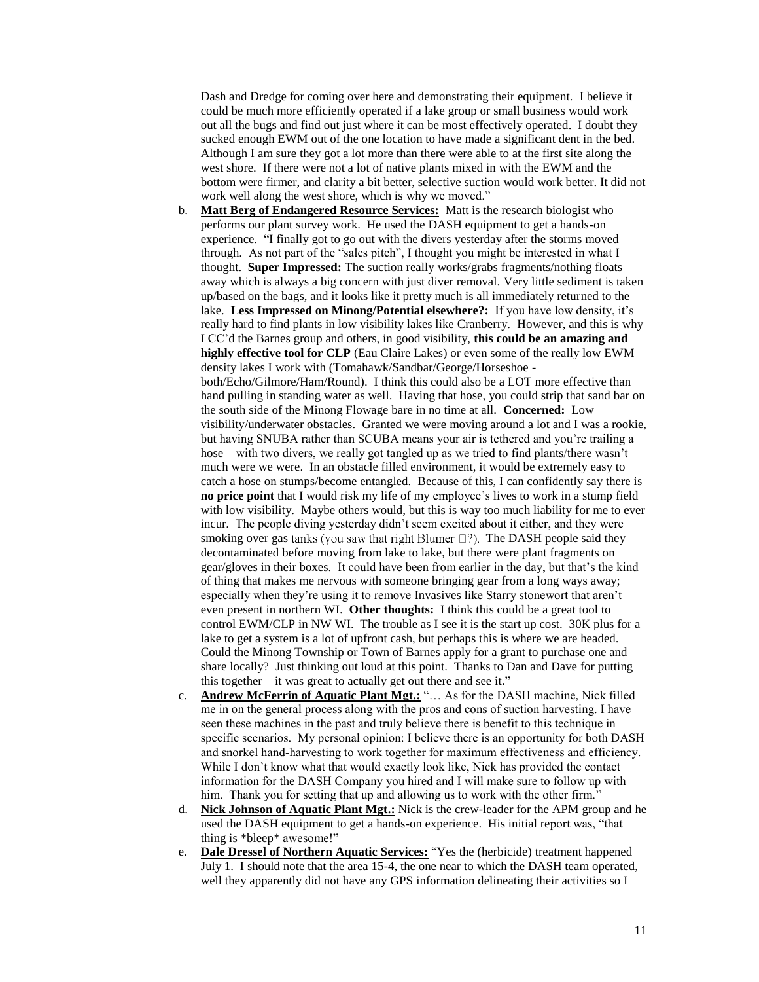Dash and Dredge for coming over here and demonstrating their equipment. I believe it could be much more efficiently operated if a lake group or small business would work out all the bugs and find out just where it can be most effectively operated. I doubt they sucked enough EWM out of the one location to have made a significant dent in the bed. Although I am sure they got a lot more than there were able to at the first site along the west shore. If there were not a lot of native plants mixed in with the EWM and the bottom were firmer, and clarity a bit better, selective suction would work better. It did not work well along the west shore, which is why we moved."

- b. **Matt Berg of Endangered Resource Services:** Matt is the research biologist who performs our plant survey work. He used the DASH equipment to get a hands-on experience. "I finally got to go out with the divers yesterday after the storms moved through. As not part of the "sales pitch", I thought you might be interested in what I thought. **Super Impressed:** The suction really works/grabs fragments/nothing floats away which is always a big concern with just diver removal. Very little sediment is taken up/based on the bags, and it looks like it pretty much is all immediately returned to the lake. **Less Impressed on Minong/Potential elsewhere?:** If you have low density, it's really hard to find plants in low visibility lakes like Cranberry. However, and this is why I CC'd the Barnes group and others, in good visibility, **this could be an amazing and highly effective tool for CLP** (Eau Claire Lakes) or even some of the really low EWM density lakes I work with (Tomahawk/Sandbar/George/Horseshoe both/Echo/Gilmore/Ham/Round). I think this could also be a LOT more effective than hand pulling in standing water as well. Having that hose, you could strip that sand bar on the south side of the Minong Flowage bare in no time at all. **Concerned:** Low visibility/underwater obstacles. Granted we were moving around a lot and I was a rookie, but having SNUBA rather than SCUBA means your air is tethered and you're trailing a hose – with two divers, we really got tangled up as we tried to find plants/there wasn't much were we were. In an obstacle filled environment, it would be extremely easy to catch a hose on stumps/become entangled. Because of this, I can confidently say there is **no price point** that I would risk my life of my employee's lives to work in a stump field with low visibility. Maybe others would, but this is way too much liability for me to ever incur. The people diving yesterday didn't seem excited about it either, and they were smoking over gas tanks (you saw that right Blumer  $\Box$ ?). The DASH people said they decontaminated before moving from lake to lake, but there were plant fragments on gear/gloves in their boxes. It could have been from earlier in the day, but that's the kind of thing that makes me nervous with someone bringing gear from a long ways away; especially when they're using it to remove Invasives like Starry stonewort that aren't even present in northern WI. **Other thoughts:** I think this could be a great tool to control EWM/CLP in NW WI. The trouble as I see it is the start up cost. 30K plus for a lake to get a system is a lot of upfront cash, but perhaps this is where we are headed. Could the Minong Township or Town of Barnes apply for a grant to purchase one and share locally? Just thinking out loud at this point. Thanks to Dan and Dave for putting this together – it was great to actually get out there and see it."
- c. **Andrew McFerrin of Aquatic Plant Mgt.:** "… As for the DASH machine, Nick filled me in on the general process along with the pros and cons of suction harvesting. I have seen these machines in the past and truly believe there is benefit to this technique in specific scenarios. My personal opinion: I believe there is an opportunity for both DASH and snorkel hand-harvesting to work together for maximum effectiveness and efficiency. While I don't know what that would exactly look like, Nick has provided the contact information for the DASH Company you hired and I will make sure to follow up with him. Thank you for setting that up and allowing us to work with the other firm."
- d. **Nick Johnson of Aquatic Plant Mgt.:** Nick is the crew-leader for the APM group and he used the DASH equipment to get a hands-on experience. His initial report was, "that thing is \*bleep\* awesome!"
- e. **Dale Dressel of Northern Aquatic Services:** "Yes the (herbicide) treatment happened July 1. I should note that the area 15-4, the one near to which the DASH team operated, well they apparently did not have any GPS information delineating their activities so I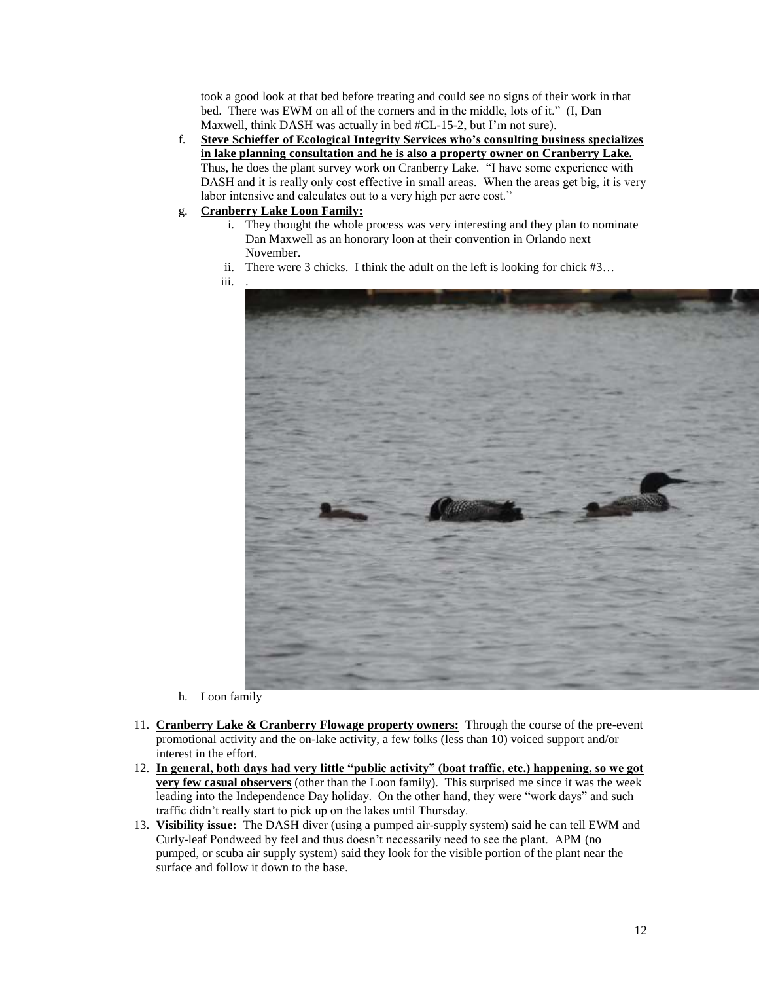took a good look at that bed before treating and could see no signs of their work in that bed. There was EWM on all of the corners and in the middle, lots of it." (I, Dan Maxwell, think DASH was actually in bed #CL-15-2, but I'm not sure).

- f. **Steve Schieffer of Ecological Integrity Services who's consulting business specializes in lake planning consultation and he is also a property owner on Cranberry Lake.** Thus, he does the plant survey work on Cranberry Lake. "I have some experience with DASH and it is really only cost effective in small areas. When the areas get big, it is very labor intensive and calculates out to a very high per acre cost."
- g. **Cranberry Lake Loon Family:** 
	- i. They thought the whole process was very interesting and they plan to nominate Dan Maxwell as an honorary loon at their convention in Orlando next November.
	- ii. There were 3 chicks. I think the adult on the left is looking for chick #3…
	- iii. .



- h. Loon family
- 11. **Cranberry Lake & Cranberry Flowage property owners:** Through the course of the pre-event promotional activity and the on-lake activity, a few folks (less than 10) voiced support and/or interest in the effort.
- 12. **In general, both days had very little "public activity" (boat traffic, etc.) happening, so we got very few casual observers** (other than the Loon family). This surprised me since it was the week leading into the Independence Day holiday. On the other hand, they were "work days" and such traffic didn't really start to pick up on the lakes until Thursday.
- 13. **Visibility issue:** The DASH diver (using a pumped air-supply system) said he can tell EWM and Curly-leaf Pondweed by feel and thus doesn't necessarily need to see the plant. APM (no pumped, or scuba air supply system) said they look for the visible portion of the plant near the surface and follow it down to the base.